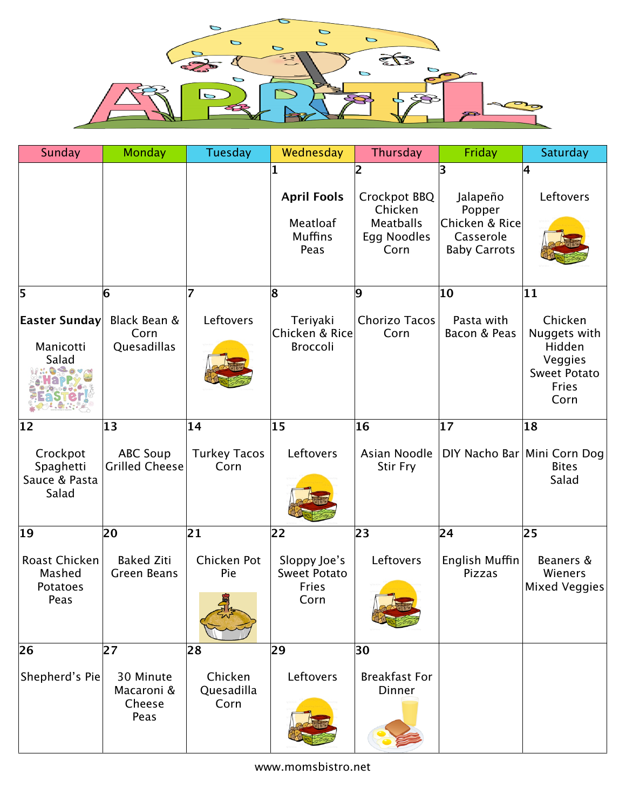

| Sunday                                          | <b>Monday</b>                             | Tuesday                            | Wednesday                                            | Thursday                                    | Friday                                                       | Saturday                                                                             |
|-------------------------------------------------|-------------------------------------------|------------------------------------|------------------------------------------------------|---------------------------------------------|--------------------------------------------------------------|--------------------------------------------------------------------------------------|
|                                                 |                                           |                                    | $\mathbf{1}$<br><b>April Fools</b>                   | 2<br>Crockpot BBQ                           | 3<br>Jalapeño                                                | 4<br>Leftovers                                                                       |
|                                                 |                                           |                                    | Meatloaf<br><b>Muffins</b><br>Peas                   | Chicken<br>Meatballs<br>Egg Noodles<br>Corn | Popper<br>Chicken & Rice<br>Casserole<br><b>Baby Carrots</b> |                                                                                      |
| 5                                               | 6                                         | 7                                  | 8                                                    | 9                                           | 10                                                           | 11                                                                                   |
| Easter Sunday<br>Manicotti<br>Salad             | Black Bean &<br>Corn<br>Quesadillas       | Leftovers                          | Teriyaki<br>Chicken & Rice<br><b>Broccoli</b>        | <b>Chorizo Tacos</b><br>Corn                | Pasta with<br>Bacon & Peas                                   | Chicken<br>Nuggets with<br>Hidden<br>Veggies<br><b>Sweet Potato</b><br>Fries<br>Corn |
| $ 12\rangle$                                    | 13                                        | 14                                 | 15                                                   | 16                                          | 17                                                           | 18                                                                                   |
| Crockpot<br>Spaghetti<br>Sauce & Pasta<br>Salad | <b>ABC Soup</b><br><b>Grilled Cheese</b>  | <b>Turkey Tacos</b><br>Corn        | Leftovers                                            | Asian Noodle<br><b>Stir Fry</b>             |                                                              | DIY Nacho Bar Mini Corn Dog<br><b>Bites</b><br>Salad                                 |
| $ 19\rangle$                                    | 20                                        | $\overline{21}$                    | 22                                                   | 23                                          | 24                                                           | 25                                                                                   |
| Roast Chicken<br>Mashed<br>Potatoes<br>Peas     | <b>Baked Ziti</b><br><b>Green Beans</b>   | Chicken Pot<br>Pie<br>$\mathbf{g}$ | Sloppy Joe's<br><b>Sweet Potato</b><br>Fries<br>Corn | Leftovers                                   | English Muffin<br><b>Pizzas</b>                              | Beaners &<br>Wieners<br>Mixed Veggies                                                |
| 26                                              | 27                                        | 28                                 | 29                                                   | 30                                          |                                                              |                                                                                      |
| Shepherd's Pie                                  | 30 Minute<br>Macaroni &<br>Cheese<br>Peas | Chicken<br>Quesadilla<br>Corn      | Leftovers                                            | <b>Breakfast For</b><br>Dinner              |                                                              |                                                                                      |

www.momsbistro.net